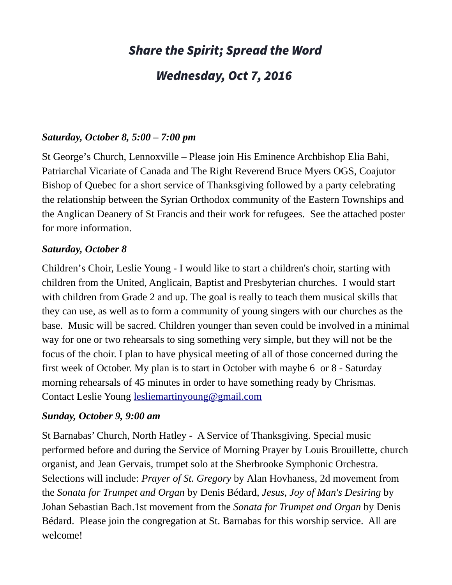# Share the Spirit; Spread the Word

## Wednesday, Oct 7, 2016

#### *Saturday, October 8, 5:00 – 7:00 pm*

St George's Church, Lennoxville – Please join His Eminence Archbishop Elia Bahi, Patriarchal Vicariate of Canada and The Right Reverend Bruce Myers OGS, Coajutor Bishop of Quebec for a short service of Thanksgiving followed by a party celebrating the relationship between the Syrian Orthodox community of the Eastern Townships and the Anglican Deanery of St Francis and their work for refugees. See the attached poster for more information.

#### *Saturday, October 8*

Children's Choir, Leslie Young - I would like to start a children's choir, starting with children from the United, Anglicain, Baptist and Presbyterian churches. I would start with children from Grade 2 and up. The goal is really to teach them musical skills that they can use, as well as to form a community of young singers with our churches as the base. Music will be sacred. Children younger than seven could be involved in a minimal way for one or two rehearsals to sing something very simple, but they will not be the focus of the choir. I plan to have physical meeting of all of those concerned during the first week of October. My plan is to start in October with maybe 6 or 8 - Saturday morning rehearsals of 45 minutes in order to have something ready by Chrismas. Contact Leslie Young [lesliemartinyoung@gmail.com](mailto:lesliemartinyoung@gmail.com)

#### *Sunday, October 9, 9:00 am*

St Barnabas' Church, North Hatley - A Service of Thanksgiving. Special music performed before and during the Service of Morning Prayer by Louis Brouillette, church organist, and Jean Gervais, trumpet solo at the Sherbrooke Symphonic Orchestra. Selections will include: *Prayer of St. Gregory* by Alan Hovhaness, 2d movement from the *Sonata for Trumpet and Organ* by Denis Bédard, *Jesus, Joy of Man's Desiring* by Johan Sebastian Bach.1st movement from the *Sonata for Trumpet and Organ* by Denis Bédard. Please join the congregation at St. Barnabas for this worship service. All are welcome!